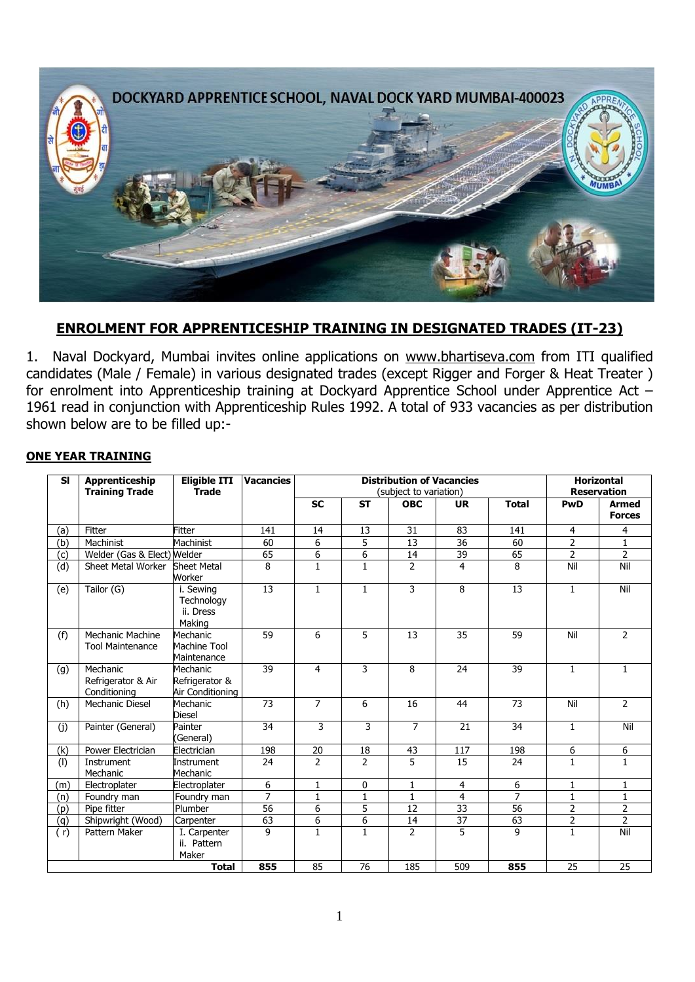

## **ENROLMENT FOR APPRENTICESHIP TRAINING IN DESIGNATED TRADES (IT-23)**

1. Naval Dockyard, Mumbai invites online applications on [www.bhartiseva.com](http://www.jobsuchi.com/) from ITI qualified candidates (Male / Female) in various designated trades (except Rigger and Forger & Heat Treater ) for enrolment into Apprenticeship training at Dockyard Apprentice School under Apprentice Act – 1961 read in conjunction with Apprenticeship Rules 1992. A total of 933 vacancies as per distribution shown below are to be filled up:-

#### **ONE YEAR TRAINING**

| <b>SI</b>    | <b>Apprenticeship</b><br><b>Training Trade</b> | <b>Eligible ITI</b><br><b>Trade</b>            | <b>Vacancies</b> | <b>Distribution of Vacancies</b><br>(subject to variation) |                |                |                 |                | <b>Horizontal</b><br><b>Reservation</b> |                               |
|--------------|------------------------------------------------|------------------------------------------------|------------------|------------------------------------------------------------|----------------|----------------|-----------------|----------------|-----------------------------------------|-------------------------------|
|              |                                                |                                                |                  | <b>SC</b>                                                  | <b>ST</b>      | <b>OBC</b>     | <b>UR</b>       | <b>Total</b>   | PwD                                     | <b>Armed</b><br><b>Forces</b> |
| (a)          | Fitter                                         | <b>Fitter</b>                                  | 141              | 14                                                         | 13             | 31             | 83              | 141            | 4                                       | 4                             |
| (b)          | Machinist                                      | Machinist                                      | 60               | 6                                                          | 5              | 13             | 36              | 60             | $\overline{2}$                          | $\mathbf{1}$                  |
| (c)          | Welder (Gas & Elect) Welder                    |                                                | 65               | 6                                                          | $\overline{6}$ | 14             | 39              | 65             | $\overline{2}$                          | $\overline{2}$                |
| (d)          | Sheet Metal Worker                             | <b>Sheet Metal</b><br>Worker                   | 8                | $\mathbf{1}$                                               | $\mathbf{1}$   | $\overline{2}$ | $\overline{4}$  | 8              | Nil                                     | Nil                           |
| (e)          | Tailor (G)                                     | i. Sewing<br>Technology<br>ii. Dress<br>Making | 13               | $\mathbf{1}$                                               | $\mathbf{1}$   | 3              | 8               | 13             | $\mathbf{1}$                            | Nil                           |
| (f)          | Mechanic Machine<br><b>Tool Maintenance</b>    | Mechanic<br>Machine Tool<br>Maintenance        | 59               | 6                                                          | 5              | 13             | 35              | 59             | Nil                                     | $\overline{2}$                |
| (g)          | Mechanic<br>Refrigerator & Air<br>Conditioning | Mechanic<br>Refrigerator &<br>Air Conditioning | 39               | 4                                                          | 3              | 8              | 24              | 39             | $\mathbf{1}$                            | $\mathbf{1}$                  |
| (h)          | <b>Mechanic Diesel</b>                         | Mechanic<br><b>Diesel</b>                      | 73               | 7                                                          | 6              | 16             | 44              | 73             | Nil                                     | $\overline{2}$                |
| (j)          | Painter (General)                              | Painter<br>(General)                           | 34               | 3                                                          | 3              | $\overline{7}$ | 21              | 34             | $\mathbf{1}$                            | Nil                           |
| (k)          | Power Electrician                              | Electrician                                    | 198              | 20                                                         | 18             | 43             | 117             | 198            | 6                                       | 6                             |
| (1)          | Instrument<br>Mechanic                         | Instrument<br>Mechanic                         | 24               | $\overline{2}$                                             | $\overline{2}$ | 5              | 15              | 24             | $\mathbf{1}$                            | $\mathbf{1}$                  |
| (m)          | Electroplater                                  | Electroplater                                  | 6                | 1                                                          | 0              | 1              | 4               | 6              | 1                                       | 1                             |
| (n)          | Foundry man                                    | Foundry man                                    | $\overline{7}$   | $\mathbf{1}$                                               | $\mathbf{1}$   | 1              | 4               | $\overline{7}$ | $\mathbf{1}$                            | $\mathbf{1}$                  |
| (p)          | Pipe fitter                                    | Plumber                                        | 56               | 6                                                          | 5              | 12             | 33              | 56             | $\overline{2}$                          | 2                             |
| (q)          | Shipwright (Wood)                              | Carpenter                                      | 63               | $\overline{6}$                                             | $\overline{6}$ | 14             | $\overline{37}$ | 63             | $\overline{2}$                          | $\overline{2}$                |
| (r)          | Pattern Maker                                  | I. Carpenter<br>ii. Pattern<br>Maker           | 9                | $\mathbf{1}$                                               | $\mathbf{1}$   | $\overline{2}$ | 5               | 9              | $\mathbf{1}$                            | Nil                           |
| <b>Total</b> |                                                |                                                | 855              | 85                                                         | 76             | 185            | 509             | 855            | 25                                      | 25                            |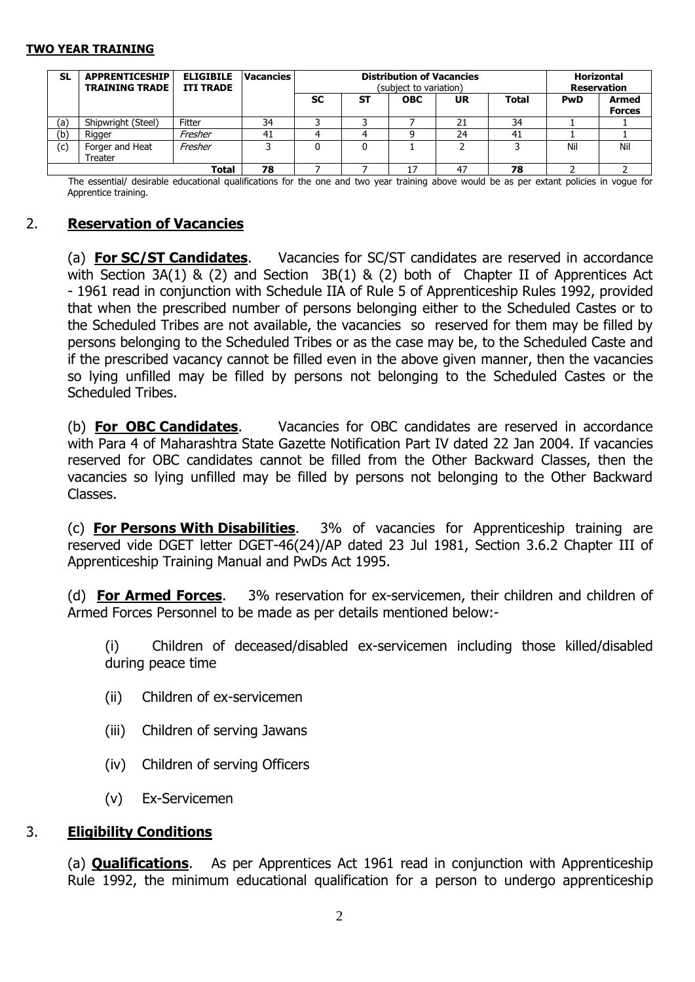#### **TWO YEAR TRAINING**

| <b>SL</b>   | <b>APPRENTICESHIP</b><br><b>TRAINING TRADE</b> | <b>ELIGIBILE</b><br><b>ITI TRADE</b> | <b>Vacancies</b> | <b>Distribution of Vacancies</b><br>(subject to variation) |           |            |           |              | <b>Horizontal</b><br><b>Reservation</b> |                        |
|-------------|------------------------------------------------|--------------------------------------|------------------|------------------------------------------------------------|-----------|------------|-----------|--------------|-----------------------------------------|------------------------|
|             |                                                |                                      |                  | <b>SC</b>                                                  | <b>ST</b> | <b>OBC</b> | <b>UR</b> | <b>Total</b> | <b>PwD</b>                              | Armed<br><b>Forces</b> |
| (a)         | Shipwright (Steel)                             | Fitter                               | 34               |                                                            |           |            | 21        | 34           |                                         |                        |
| (b)         | Rigger                                         | Fresher                              | 41               |                                                            |           |            | 24        | 41           |                                         |                        |
| (c)         | Forger and Heat<br><b>Treater</b>              | Fresher                              |                  |                                                            |           |            |           |              | Nil                                     | Nil                    |
| 78<br>Total |                                                |                                      |                  |                                                            |           | 47         | 78        |              |                                         |                        |

The essential/ desirable educational qualifications for the one and two year training above would be as per extant policies in vogue for Apprentice training.

### 2. **Reservation of Vacancies**

(a) **For SC/ST Candidates**. Vacancies for SC/ST candidates are reserved in accordance with Section 3A(1) & (2) and Section 3B(1) & (2) both of Chapter II of Apprentices Act - 1961 read in conjunction with Schedule IIA of Rule 5 of Apprenticeship Rules 1992, provided that when the prescribed number of persons belonging either to the Scheduled Castes or to the Scheduled Tribes are not available, the vacancies so reserved for them may be filled by persons belonging to the Scheduled Tribes or as the case may be, to the Scheduled Caste and if the prescribed vacancy cannot be filled even in the above given manner, then the vacancies so lying unfilled may be filled by persons not belonging to the Scheduled Castes or the Scheduled Tribes.

(b) **For OBC Candidates**. Vacancies for OBC candidates are reserved in accordance with Para 4 of Maharashtra State Gazette Notification Part IV dated 22 Jan 2004. If vacancies reserved for OBC candidates cannot be filled from the Other Backward Classes, then the vacancies so lying unfilled may be filled by persons not belonging to the Other Backward Classes.

(c) **For Persons With Disabilities**. 3% of vacancies for Apprenticeship training are reserved vide DGET letter DGET-46(24)/AP dated 23 Jul 1981, Section 3.6.2 Chapter III of Apprenticeship Training Manual and PwDs Act 1995.

(d) **For Armed Forces**. 3% reservation for ex-servicemen, their children and children of Armed Forces Personnel to be made as per details mentioned below:-

(i) Children of deceased/disabled ex-servicemen including those killed/disabled during peace time

- (ii) Children of ex-servicemen
- (iii) Children of serving Jawans
- (iv) Children of serving Officers
- (v) Ex-Servicemen

### 3. **Eligibility Conditions**

(a) **Qualifications**.As per Apprentices Act 1961 read in conjunction with Apprenticeship Rule 1992, the minimum educational qualification for a person to undergo apprenticeship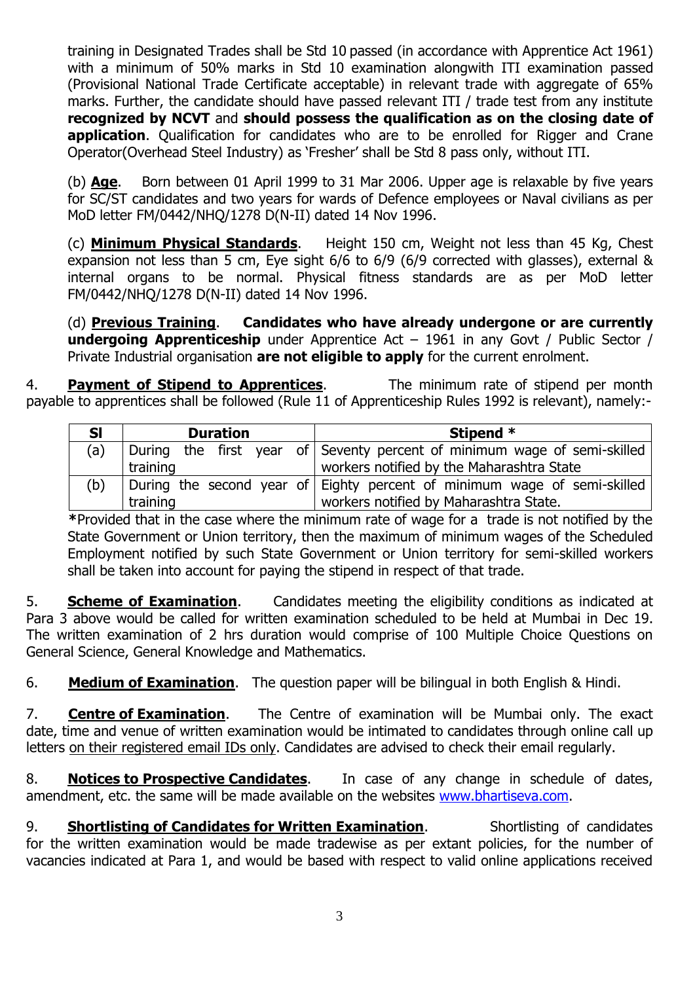training in Designated Trades shall be Std 10 passed (in accordance with Apprentice Act 1961) with a minimum of 50% marks in Std 10 examination alongwith ITI examination passed (Provisional National Trade Certificate acceptable) in relevant trade with aggregate of 65% marks. Further, the candidate should have passed relevant ITI / trade test from any institute **recognized by NCVT** and **should possess the qualification as on the closing date of application**. Qualification for candidates who are to be enrolled for Rigger and Crane Operator(Overhead Steel Industry) as 'Fresher' shall be Std 8 pass only, without ITI.

(b) **Age**. Born between 01 April 1999 to 31 Mar 2006. Upper age is relaxable by five years for SC/ST candidates and two years for wards of Defence employees or Naval civilians as per MoD letter FM/0442/NHQ/1278 D(N-II) dated 14 Nov 1996.

(c) **Minimum Physical Standards**.Height 150 cm, Weight not less than 45 Kg, Chest expansion not less than 5 cm, Eye sight 6/6 to 6/9 (6/9 corrected with glasses), external & internal organs to be normal. Physical fitness standards are as per MoD letter FM/0442/NHQ/1278 D(N-II) dated 14 Nov 1996.

(d) **Previous Training**. **Candidates who have already undergone or are currently undergoing Apprenticeship** under Apprentice Act – 1961 in any Govt / Public Sector / Private Industrial organisation **are not eligible to apply** for the current enrolment.

4. **Payment of Stipend to Apprentices**.The minimum rate of stipend per month payable to apprentices shall be followed (Rule 11 of Apprenticeship Rules 1992 is relevant), namely:-

| <b>SI</b> | <b>Duration</b> | Stipend *                                                                |  |  |  |
|-----------|-----------------|--------------------------------------------------------------------------|--|--|--|
| (a)       |                 | During the first year of Seventy percent of minimum wage of semi-skilled |  |  |  |
|           | training        | workers notified by the Maharashtra State                                |  |  |  |
| (b)       |                 | During the second year of Eighty percent of minimum wage of semi-skilled |  |  |  |
|           | training        | workers notified by Maharashtra State.                                   |  |  |  |

**\***Provided that in the case where the minimum rate of wage for a trade is not notified by the State Government or Union territory, then the maximum of minimum wages of the Scheduled Employment notified by such State Government or Union territory for semi-skilled workers shall be taken into account for paying the stipend in respect of that trade.

5. **Scheme of Examination**. Candidates meeting the eligibility conditions as indicated at Para 3 above would be called for written examination scheduled to be held at Mumbai in Dec 19. The written examination of 2 hrs duration would comprise of 100 Multiple Choice Questions on General Science, General Knowledge and Mathematics.

6. **Medium of Examination**. The question paper will be bilingual in both English & Hindi.

7. **Centre of Examination**. The Centre of examination will be Mumbai only. The exact date, time and venue of written examination would be intimated to candidates through online call up letters on their registered email IDs only. Candidates are advised to check their email regularly.

8. **Notices to Prospective Candidates**. In case of any change in schedule of dates, amendment, etc. the same will be made available on the websites [www.bhartiseva.com.](http://www.jobsuchi.com/)

9. **Shortlisting of Candidates for Written Examination**. Shortlisting of candidates for the written examination would be made tradewise as per extant policies, for the number of vacancies indicated at Para 1, and would be based with respect to valid online applications received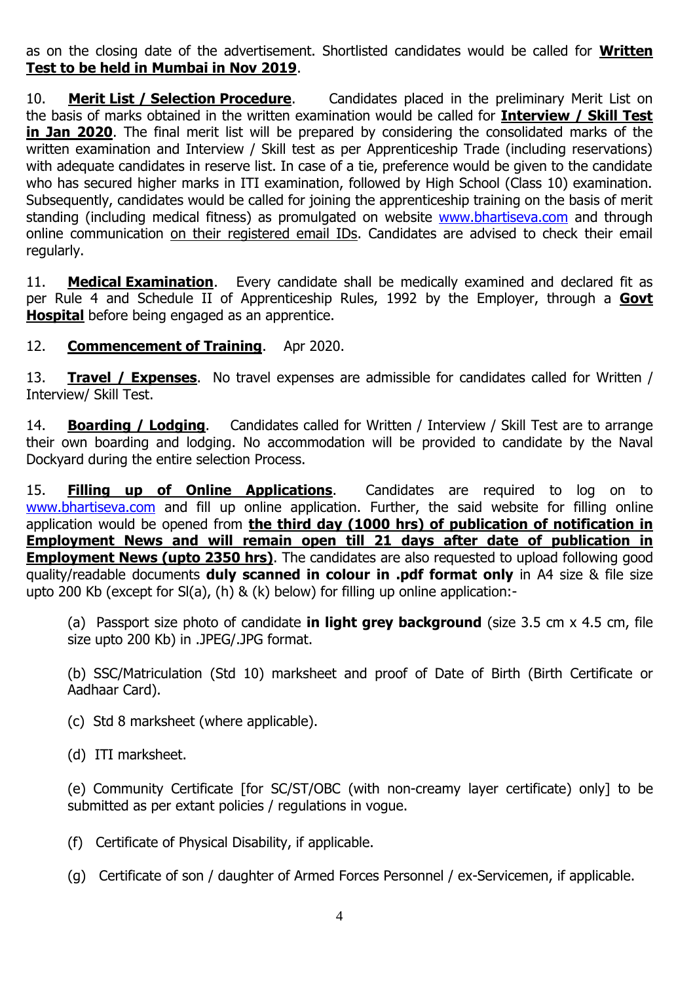as on the closing date of the advertisement. Shortlisted candidates would be called for **Written Test to be held in Mumbai in Nov 2019**.

10. **Merit List / Selection Procedure**. Candidates placed in the preliminary Merit List on the basis of marks obtained in the written examination would be called for **Interview / Skill Test in Jan 2020**. The final merit list will be prepared by considering the consolidated marks of the written examination and Interview / Skill test as per Apprenticeship Trade (including reservations) with adequate candidates in reserve list. In case of a tie, preference would be given to the candidate who has secured higher marks in ITI examination, followed by High School (Class 10) examination. Subsequently, candidates would be called for joining the apprenticeship training on the basis of merit standing (including medical fitness) as promulgated on website [www.bhartiseva.com](http://www.jobsuchi.com/) and through online communication on their registered email IDs. Candidates are advised to check their email regularly.

11. **Medical Examination**. Every candidate shall be medically examined and declared fit as per Rule 4 and Schedule II of Apprenticeship Rules, 1992 by the Employer, through a **Govt Hospital** before being engaged as an apprentice.

12. **Commencement of Training**. Apr 2020.

13. **Travel / Expenses**.No travel expenses are admissible for candidates called for Written / Interview/ Skill Test.

14. **Boarding / Lodging**. Candidates called for Written / Interview / Skill Test are to arrange their own boarding and lodging. No accommodation will be provided to candidate by the Naval Dockyard during the entire selection Process.

15. **Filling up of Online Applications**.Candidates are required to log on to [www.bhartiseva.com](http://www.jobsuchi.com/) and fill up online application. Further, the said website for filling online application would be opened from **the third day (1000 hrs) of publication of notification in Employment News and will remain open till 21 days after date of publication in Employment News (upto 2350 hrs)**. The candidates are also requested to upload following good quality/readable documents **duly scanned in colour in .pdf format only** in A4 size & file size upto 200 Kb (except for Sl(a), (h) & (k) below) for filling up online application:-

(a) Passport size photo of candidate **in light grey background** (size 3.5 cm x 4.5 cm, file size upto 200 Kb) in .JPEG/.JPG format.

(b) SSC/Matriculation (Std 10) marksheet and proof of Date of Birth (Birth Certificate or Aadhaar Card).

(c) Std 8 marksheet (where applicable).

(d) ITI marksheet.

(e) Community Certificate [for SC/ST/OBC (with non-creamy layer certificate) only] to be submitted as per extant policies / regulations in vogue.

- (f) Certificate of Physical Disability, if applicable.
- (g) Certificate of son / daughter of Armed Forces Personnel / ex-Servicemen, if applicable.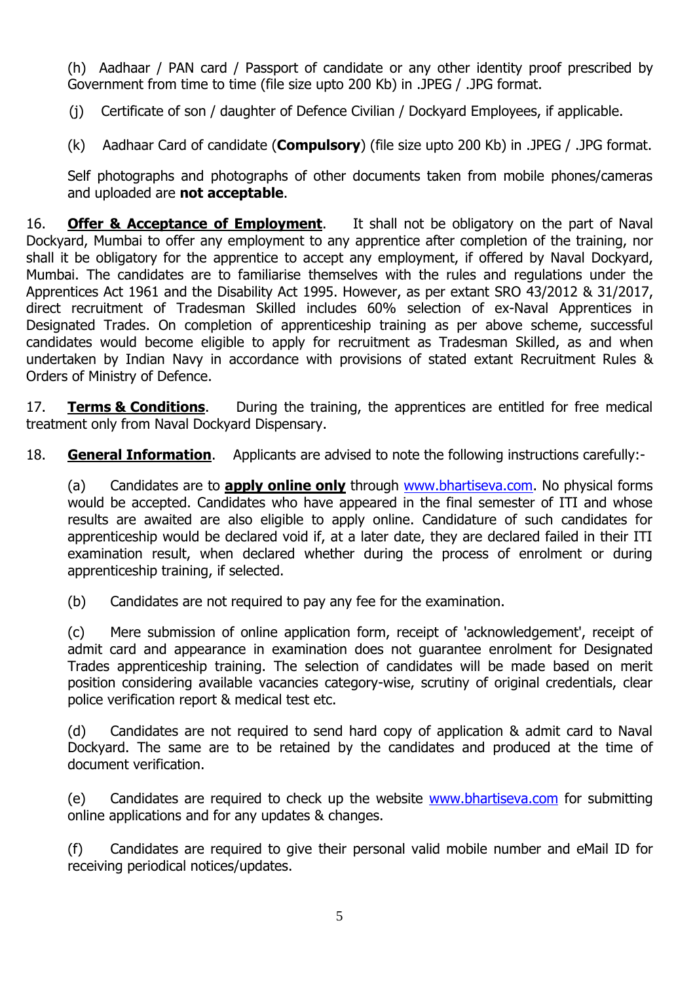(h) Aadhaar / PAN card / Passport of candidate or any other identity proof prescribed by Government from time to time (file size upto 200 Kb) in .JPEG / .JPG format.

(j) Certificate of son / daughter of Defence Civilian / Dockyard Employees, if applicable.

(k) Aadhaar Card of candidate (**Compulsory**) (file size upto 200 Kb) in .JPEG / .JPG format.

Self photographs and photographs of other documents taken from mobile phones/cameras and uploaded are **not acceptable**.

16. **Offer & Acceptance of Employment**. It shall not be obligatory on the part of Naval Dockyard, Mumbai to offer any employment to any apprentice after completion of the training, nor shall it be obligatory for the apprentice to accept any employment, if offered by Naval Dockyard, Mumbai. The candidates are to familiarise themselves with the rules and regulations under the Apprentices Act 1961 and the Disability Act 1995. However, as per extant SRO 43/2012 & 31/2017, direct recruitment of Tradesman Skilled includes 60% selection of ex-Naval Apprentices in Designated Trades. On completion of apprenticeship training as per above scheme, successful candidates would become eligible to apply for recruitment as Tradesman Skilled, as and when undertaken by Indian Navy in accordance with provisions of stated extant Recruitment Rules & Orders of Ministry of Defence.

17. **Terms & Conditions**. During the training, the apprentices are entitled for free medical treatment only from Naval Dockyard Dispensary.

18. **General Information**. Applicants are advised to note the following instructions carefully:-

(a) Candidates are to **apply online only** through [www.bhartiseva.com.](http://www.jobsuchi.com/) No physical forms would be accepted. Candidates who have appeared in the final semester of ITI and whose results are awaited are also eligible to apply online. Candidature of such candidates for apprenticeship would be declared void if, at a later date, they are declared failed in their ITI examination result, when declared whether during the process of enrolment or during apprenticeship training, if selected.

(b) Candidates are not required to pay any fee for the examination.

(c) Mere submission of online application form, receipt of 'acknowledgement', receipt of admit card and appearance in examination does not guarantee enrolment for Designated Trades apprenticeship training. The selection of candidates will be made based on merit position considering available vacancies category-wise, scrutiny of original credentials, clear police verification report & medical test etc.

(d) Candidates are not required to send hard copy of application & admit card to Naval Dockyard. The same are to be retained by the candidates and produced at the time of document verification.

(e) Candidates are required to check up the website [www.bhartiseva.com](http://www.jobsuchi.com/) for submitting online applications and for any updates & changes.

(f) Candidates are required to give their personal valid mobile number and eMail ID for receiving periodical notices/updates.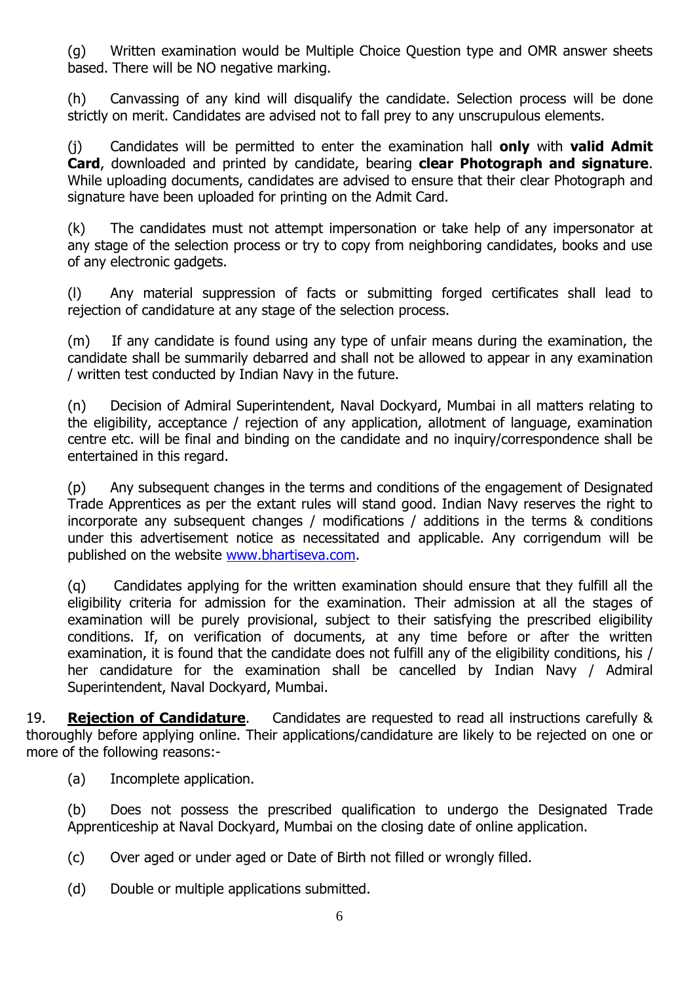(g) Written examination would be Multiple Choice Question type and OMR answer sheets based. There will be NO negative marking.

(h) Canvassing of any kind will disqualify the candidate. Selection process will be done strictly on merit. Candidates are advised not to fall prey to any unscrupulous elements.

(j) Candidates will be permitted to enter the examination hall **only** with **valid Admit Card**, downloaded and printed by candidate, bearing **clear Photograph and signature**. While uploading documents, candidates are advised to ensure that their clear Photograph and signature have been uploaded for printing on the Admit Card.

(k) The candidates must not attempt impersonation or take help of any impersonator at any stage of the selection process or try to copy from neighboring candidates, books and use of any electronic gadgets.

(l) Any material suppression of facts or submitting forged certificates shall lead to rejection of candidature at any stage of the selection process.

(m) If any candidate is found using any type of unfair means during the examination, the candidate shall be summarily debarred and shall not be allowed to appear in any examination / written test conducted by Indian Navy in the future.

(n) Decision of Admiral Superintendent, Naval Dockyard, Mumbai in all matters relating to the eligibility, acceptance / rejection of any application, allotment of language, examination centre etc. will be final and binding on the candidate and no inquiry/correspondence shall be entertained in this regard.

(p) Any subsequent changes in the terms and conditions of the engagement of Designated Trade Apprentices as per the extant rules will stand good. Indian Navy reserves the right to incorporate any subsequent changes / modifications / additions in the terms & conditions under this advertisement notice as necessitated and applicable. Any corrigendum will be published on the website [www.bhartiseva.com.](http://www.jobsuchi.com/)

(q) Candidates applying for the written examination should ensure that they fulfill all the eligibility criteria for admission for the examination. Their admission at all the stages of examination will be purely provisional, subject to their satisfying the prescribed eligibility conditions. If, on verification of documents, at any time before or after the written examination, it is found that the candidate does not fulfill any of the eligibility conditions, his / her candidature for the examination shall be cancelled by Indian Navy / Admiral Superintendent, Naval Dockyard, Mumbai.

19. **Rejection of Candidature**. Candidates are requested to read all instructions carefully & thoroughly before applying online. Their applications/candidature are likely to be rejected on one or more of the following reasons:-

(a) Incomplete application.

(b) Does not possess the prescribed qualification to undergo the Designated Trade Apprenticeship at Naval Dockyard, Mumbai on the closing date of online application.

(c) Over aged or under aged or Date of Birth not filled or wrongly filled.

(d) Double or multiple applications submitted.